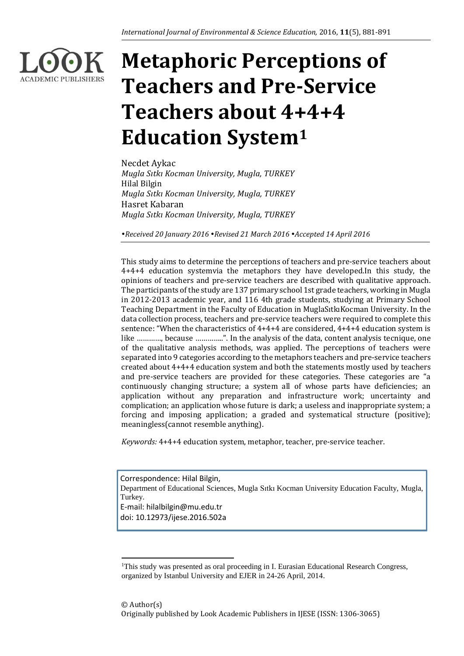

# **Metaphoric Perceptions of Teachers and Pre-Service Teachers about 4+4+4 Education System<sup>1</sup>**

Necdet Aykac *Mugla Sıtkı Kocman University, Mugla, TURKEY* Hilal Bilgin *Mugla Sıtkı Kocman University, Mugla, TURKEY* Hasret Kabaran *Mugla Sıtkı Kocman University, Mugla, TURKEY*

*Received 20 January 2016 Revised 21 March 2016 Accepted 14 April 2016*

This study aims to determine the perceptions of teachers and pre-service teachers about 4+4+4 education systemvia the metaphors they have developed.In this study, the opinions of teachers and pre-service teachers are described with qualitative approach. The participants of the study are 137 primary school 1st grade teachers, working in Mugla in 2012-2013 academic year, and 116 4th grade students, studying at Primary School Teaching Department in the Faculty of Education in MuglaSıtkıKocman University. In the data collection process, teachers and pre-service teachers were required to complete this sentence: "When the characteristics of 4+4+4 are considered, 4+4+4 education system is like …………, because …………..". In the analysis of the data, content analysis tecnique, one of the qualitative analysis methods, was applied. The perceptions of teachers were separated into 9 categories according to the metaphors teachers and pre-service teachers created about 4+4+4 education system and both the statements mostly used by teachers and pre-service teachers are provided for these categories. These categories are "a continuously changing structure; a system all of whose parts have deficiencies; an application without any preparation and infrastructure work; uncertainty and complication; an application whose future is dark; a useless and inappropriate system; a forcing and imposing application; a graded and systematical structure (positive); meaningless(cannot resemble anything).

*Keywords:* 4+4+4 education system, metaphor, teacher, pre-service teacher.

Correspondence: Hilal Bilgin, Department of Educational Sciences, Mugla Sıtkı Kocman University Education Faculty, Mugla, Turkey. E-mail: hilalbilgin@mu.edu.tr doi: 10.12973/ijese.2016.502a

**.** 

<sup>&</sup>lt;sup>1</sup>This study was presented as oral proceeding in I. Eurasian Educational Research Congress, organized by Istanbul University and EJER in 24-26 April, 2014.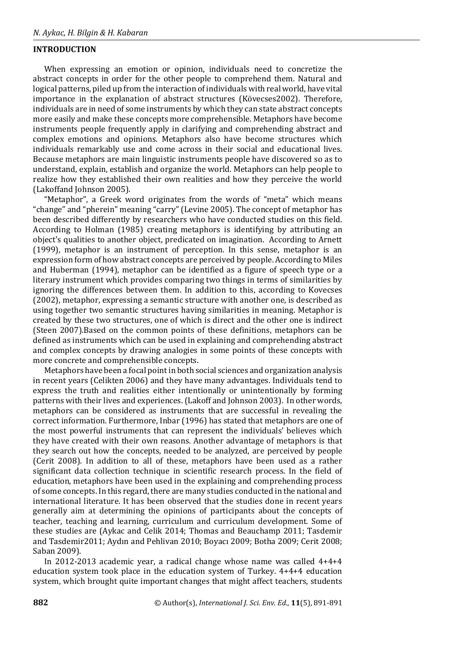### **INTRODUCTION**

When expressing an emotion or opinion, individuals need to concretize the abstract concepts in order for the other people to comprehend them. Natural and logical patterns, piled up from the interaction of individuals with real world, have vital importance in the explanation of abstract structures (Kövecses2002). Therefore, individuals are in need of some instruments by which they can state abstract concepts more easily and make these concepts more comprehensible. Metaphors have become instruments people frequently apply in clarifying and comprehending abstract and complex emotions and opinions. Metaphors also have become structures which individuals remarkably use and come across in their social and educational lives. Because metaphors are main linguistic instruments people have discovered so as to understand, explain, establish and organize the world. Metaphors can help people to realize how they established their own realities and how they perceive the world (Lakoffand Johnson 2005).

"Metaphor", a Greek word originates from the words of "meta" which means "change" and "pherein" meaning "carry" (Levine 2005). The concept of metaphor has been described differently by researchers who have conducted studies on this field. According to Holman (1985) creating metaphors is identifying by attributing an object's qualities to another object, predicated on imagination. According to Arnett (1999), metaphor is an instrument of perception. In this sense, metaphor is an expression form of how abstract concepts are perceived by people. According to Miles and Huberman (1994), metaphor can be identified as a figure of speech type or a literary instrument which provides comparing two things in terms of similarities by ignoring the differences between them. In addition to this, according to Kovecses (2002), metaphor, expressing a semantic structure with another one, is described as using together two semantic structures having similarities in meaning. Metaphor is created by these two structures, one of which is direct and the other one is indirect (Steen 2007).Based on the common points of these definitions, metaphors can be defined as instruments which can be used in explaining and comprehending abstract and complex concepts by drawing analogies in some points of these concepts with more concrete and comprehensible concepts.

Metaphors have been a focal point in both social sciences and organization analysis in recent years (Celikten 2006) and they have many advantages. Individuals tend to express the truth and realities either intentionally or unintentionally by forming patterns with their lives and experiences. (Lakoff and Johnson 2003). In other words, metaphors can be considered as instruments that are successful in revealing the correct information. Furthermore, Inbar (1996) has stated that metaphors are one of the most powerful instruments that can represent the individuals' believes which they have created with their own reasons. Another advantage of metaphors is that they search out how the concepts, needed to be analyzed, are perceived by people (Cerit 2008). In addition to all of these, metaphors have been used as a rather significant data collection technique in scientific research process. In the field of education, metaphors have been used in the explaining and comprehending process of some concepts. In this regard, there are many studies conducted in the national and international literature. It has been observed that the studies done in recent years generally aim at determining the opinions of participants about the concepts of teacher, teaching and learning, curriculum and curriculum development. Some of these studies are (Aykac and Celik 2014; Thomas and Beauchamp 2011; Tasdemir and Tasdemir2011; Aydın and Pehlivan 2010; Boyacı 2009; Botha 2009; Cerit 2008; Saban 2009).

In 2012-2013 academic year, a radical change whose name was called 4+4+4 education system took place in the education system of Turkey. 4+4+4 education system, which brought quite important changes that might affect teachers, students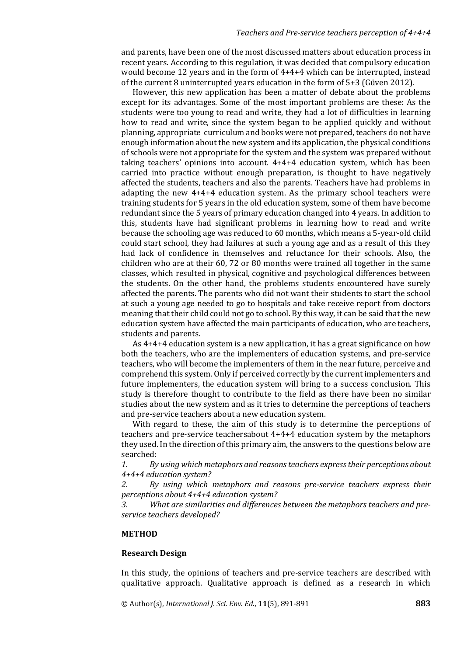and parents, have been one of the most discussed matters about education process in recent years. According to this regulation, it was decided that compulsory education would become 12 years and in the form of 4+4+4 which can be interrupted, instead of the current 8 uninterrupted years education in the form of 5+3 (Güven 2012).

However, this new application has been a matter of debate about the problems except for its advantages. Some of the most important problems are these: As the students were too young to read and write, they had a lot of difficulties in learning how to read and write, since the system began to be applied quickly and without planning, appropriate curriculum and books were not prepared, teachers do not have enough information about the new system and its application, the physical conditions of schools were not appropriate for the system and the system was prepared without taking teachers' opinions into account. 4+4+4 education system, which has been carried into practice without enough preparation, is thought to have negatively affected the students, teachers and also the parents. Teachers have had problems in adapting the new 4+4+4 education system. As the primary school teachers were training students for 5 years in the old education system, some of them have become redundant since the 5 years of primary education changed into 4 years. In addition to this, students have had significant problems in learning how to read and write because the schooling age was reduced to 60 months, which means a 5-year-old child could start school, they had failures at such a young age and as a result of this they had lack of confidence in themselves and reluctance for their schools. Also, the children who are at their 60, 72 or 80 months were trained all together in the same classes, which resulted in physical, cognitive and psychological differences between the students. On the other hand, the problems students encountered have surely affected the parents. The parents who did not want their students to start the school at such a young age needed to go to hospitals and take receive report from doctors meaning that their child could not go to school. By this way, it can be said that the new education system have affected the main participants of education, who are teachers, students and parents.

As 4+4+4 education system is a new application, it has a great significance on how both the teachers, who are the implementers of education systems, and pre-service teachers, who will become the implementers of them in the near future, perceive and comprehend this system. Only if perceived correctly by the current implementers and future implementers, the education system will bring to a success conclusion. This study is therefore thought to contribute to the field as there have been no similar studies about the new system and as it tries to determine the perceptions of teachers and pre-service teachers about a new education system.

With regard to these, the aim of this study is to determine the perceptions of teachers and pre-service teachersabout 4+4+4 education system by the metaphors they used. In the direction of this primary aim, the answers to the questions below are searched:

*1. By using which metaphors and reasons teachers express their perceptions about 4+4+4 education system?* 

*2. By using which metaphors and reasons pre-service teachers express their perceptions about 4+4+4 education system?* 

*3. What are similarities and differences between the metaphors teachers and preservice teachers developed?*

#### **METHOD**

#### **Research Design**

In this study, the opinions of teachers and pre-service teachers are described with qualitative approach. Qualitative approach is defined as a research in which

© Author(s), *International J. Sci. Env. Ed.*, **11**(5), 891-891 **883**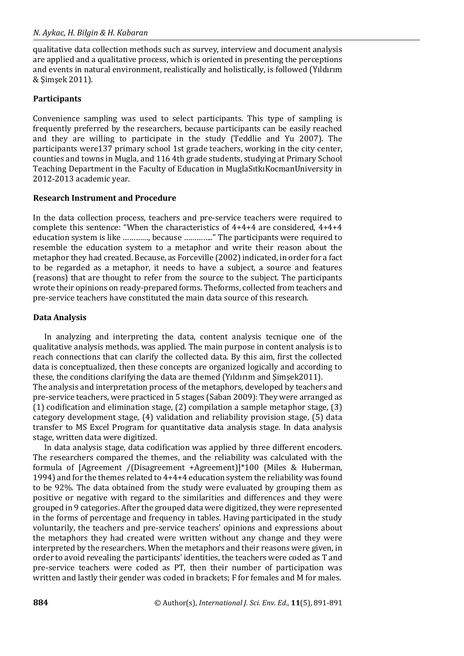qualitative data collection methods such as survey, interview and document analysis are applied and a qualitative process, which is oriented in presenting the perceptions and events in natural environment, realistically and holistically, is followed (Yıldırım & Şimşek 2011).

# **Participants**

Convenience sampling was used to select participants. This type of sampling is frequently preferred by the researchers, because participants can be easily reached and they are willing to participate in the study (Teddlie and Yu 2007). The participants were137 primary school 1st grade teachers, working in the city center, counties and towns in Mugla, and 116 4th grade students, studying at Primary School Teaching Department in the Faculty of Education in MuglaSıtkıKocmanUniversity in 2012-2013 academic year.

# **Research Instrument and Procedure**

In the data collection process, teachers and pre-service teachers were required to complete this sentence: "When the characteristics of 4+4+4 are considered, 4+4+4 education system is like …………, because ………….." The participants were required to resemble the education system to a metaphor and write their reason about the metaphor they had created. Because, as Forceville (2002) indicated, in order for a fact to be regarded as a metaphor, it needs to have a subject, a source and features (reasons) that are thought to refer from the source to the subject. The participants wrote their opinions on ready-prepared forms. Theforms, collected from teachers and pre-service teachers have constituted the main data source of this research.

# **Data Analysis**

In analyzing and interpreting the data, content analysis tecnique one of the qualitative analysis methods, was applied. The main purpose in content analysis is to reach connections that can clarify the collected data. By this aim, first the collected data is conceptualized, then these concepts are organized logically and according to these, the conditions clarifying the data are themed (Yıldırım and Şimşek2011).

The analysis and interpretation process of the metaphors, developed by teachers and pre-service teachers, were practiced in 5 stages (Saban 2009): They were arranged as (1) codification and elimination stage, (2) compilation a sample metaphor stage, (3) category development stage, (4) validation and reliability provision stage, (5) data transfer to MS Excel Program for quantitative data analysis stage. In data analysis stage, written data were digitized.

In data analysis stage, data codification was applied by three different encoders. The researchers compared the themes, and the reliability was calculated with the formula of [Agreement /(Disagreement +Agreement)]\*100 (Miles & Huberman, 1994) and for the themes related to 4+4+4 education system the reliability was found to be 92%. The data obtained from the study were evaluated by grouping them as positive or negative with regard to the similarities and differences and they were grouped in 9 categories. After the grouped data were digitized, they were represented in the forms of percentage and frequency in tables. Having participated in the study voluntarily, the teachers and pre-service teachers' opinions and expressions about the metaphors they had created were written without any change and they were interpreted by the researchers. When the metaphors and their reasons were given, in order to avoid revealing the participants' identities, the teachers were coded as T and pre-service teachers were coded as PT, then their number of participation was written and lastly their gender was coded in brackets; F for females and M for males.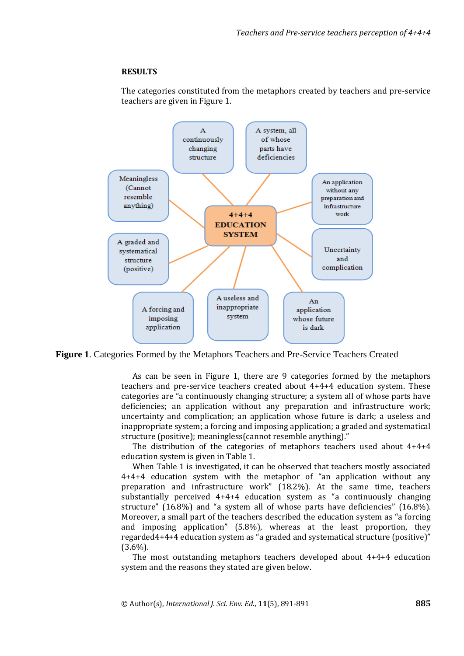### **RESULTS**

The categories constituted from the metaphors created by teachers and pre-service teachers are given in Figure 1.



**Figure 1**. Categories Formed by the Metaphors Teachers and Pre-Service Teachers Created

As can be seen in Figure 1, there are 9 categories formed by the metaphors teachers and pre-service teachers created about 4+4+4 education system. These categories are "a continuously changing structure; a system all of whose parts have deficiencies; an application without any preparation and infrastructure work; uncertainty and complication; an application whose future is dark; a useless and inappropriate system; a forcing and imposing application; a graded and systematical structure (positive); meaningless(cannot resemble anything)."

The distribution of the categories of metaphors teachers used about 4+4+4 education system is given in Table 1.

When Table 1 is investigated, it can be observed that teachers mostly associated 4+4+4 education system with the metaphor of "an application without any preparation and infrastructure work" (18.2%). At the same time, teachers substantially perceived 4+4+4 education system as "a continuously changing structure" (16.8%) and "a system all of whose parts have deficiencies" (16.8%). Moreover, a small part of the teachers described the education system as "a forcing and imposing application" (5.8%), whereas at the least proportion, they regarded4+4+4 education system as "a graded and systematical structure (positive)" (3.6%).

The most outstanding metaphors teachers developed about 4+4+4 education system and the reasons they stated are given below.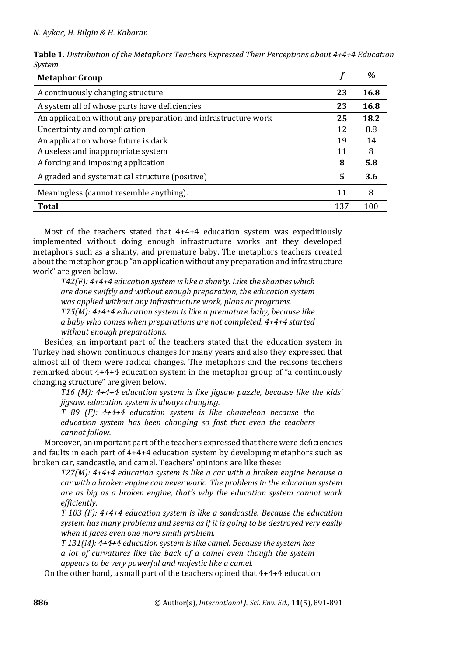|        | Table 1. Distribution of the Metaphors Teachers Expressed Their Perceptions about 4+4+4 Education |  |  |  |
|--------|---------------------------------------------------------------------------------------------------|--|--|--|
| System |                                                                                                   |  |  |  |

| <b>Metaphor Group</b>                                          |     | %    |
|----------------------------------------------------------------|-----|------|
| A continuously changing structure                              | 23  | 16.8 |
| A system all of whose parts have deficiencies                  | 23  | 16.8 |
| An application without any preparation and infrastructure work | 25  | 18.2 |
| Uncertainty and complication                                   | 12  | 8.8  |
| An application whose future is dark                            | 19  | 14   |
| A useless and inappropriate system                             | 11  | 8    |
| A forcing and imposing application                             | 8   | 5.8  |
| A graded and systematical structure (positive)                 | 5   | 3.6  |
| Meaningless (cannot resemble anything).                        |     | 8    |
| <b>Total</b>                                                   | 137 | 10   |

Most of the teachers stated that 4+4+4 education system was expeditiously implemented without doing enough infrastructure works ant they developed metaphors such as a shanty, and premature baby. The metaphors teachers created about the metaphor group "an application without any preparation and infrastructure work" are given below.

*T42(F): 4+4+4 education system is like a shanty. Like the shanties which are done swiftly and without enough preparation, the education system was applied without any infrastructure work, plans or programs. T75(M): 4+4+4 education system is like a premature baby, because like a baby who comes when preparations are not completed, 4+4+4 started without enough preparations.* 

Besides, an important part of the teachers stated that the education system in Turkey had shown continuous changes for many years and also they expressed that almost all of them were radical changes. The metaphors and the reasons teachers remarked about 4+4+4 education system in the metaphor group of "a continuously changing structure" are given below.

*T16 (M): 4+4+4 education system is like jigsaw puzzle, because like the kids' jigsaw, education system is always changing.* 

*T 89 (F): 4+4+4 education system is like chameleon because the education system has been changing so fast that even the teachers cannot follow.* 

Moreover, an important part of the teachers expressed that there were deficiencies and faults in each part of 4+4+4 education system by developing metaphors such as broken car, sandcastle, and camel. Teachers' opinions are like these:

*T27(M): 4+4+4 education system is like a car with a broken engine because a car with a broken engine can never work. The problems in the education system are as big as a broken engine, that's why the education system cannot work efficiently.* 

*T 103 (F): 4+4+4 education system is like a sandcastle. Because the education system has many problems and seems as if it is going to be destroyed very easily when it faces even one more small problem.* 

*T 131(M): 4+4+4 education system is like camel. Because the system has a lot of curvatures like the back of a camel even though the system appears to be very powerful and majestic like a camel.* 

On the other hand, a small part of the teachers opined that 4+4+4 education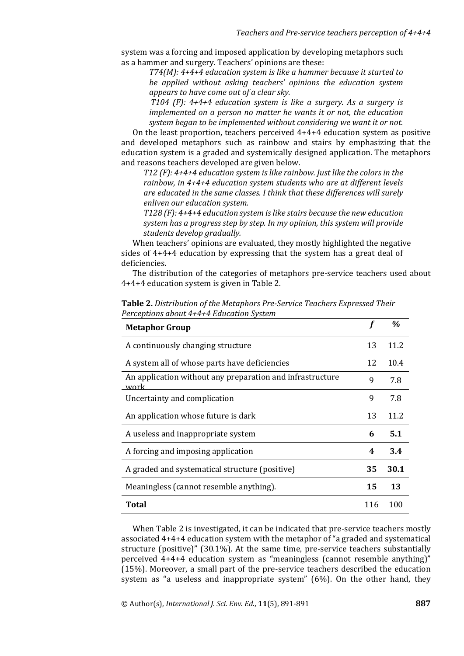system was a forcing and imposed application by developing metaphors such as a hammer and surgery. Teachers' opinions are these:

*T74(M): 4+4+4 education system is like a hammer because it started to be applied without asking teachers' opinions the education system appears to have come out of a clear sky.*

*T104 (F): 4+4+4 education system is like a surgery. As a surgery is implemented on a person no matter he wants it or not, the education system began to be implemented without considering we want it or not.* 

On the least proportion, teachers perceived 4+4+4 education system as positive and developed metaphors such as rainbow and stairs by emphasizing that the education system is a graded and systemically designed application. The metaphors and reasons teachers developed are given below.

*T12 (F): 4+4+4 education system is like rainbow. Just like the colors in the rainbow, in 4+4+4 education system students who are at different levels are educated in the same classes. I think that these differences will surely enliven our education system.* 

*T128 (F): 4+4+4 education system is like stairs because the new education system has a progress step by step. In my opinion, this system will provide students develop gradually.* 

When teachers' opinions are evaluated, they mostly highlighted the negative sides of 4+4+4 education by expressing that the system has a great deal of deficiencies.

The distribution of the categories of metaphors pre-service teachers used about 4+4+4 education system is given in Table 2.

| <b>Metaphor Group</b>                                             |     | $\frac{a}{2}$ |
|-------------------------------------------------------------------|-----|---------------|
| A continuously changing structure                                 | 13  | 11.2          |
| A system all of whose parts have deficiencies                     | 12  | 10.4          |
| An application without any preparation and infrastructure<br>work | 9   | 7.8           |
| Uncertainty and complication                                      | 9   | 7.8           |
| An application whose future is dark                               | 13  | 11 2          |
| A useless and inappropriate system                                | 6   | 5.1           |
| A forcing and imposing application                                | 4   | 3.4           |
| A graded and systematical structure (positive)                    | 35  | 30.1          |
| Meaningless (cannot resemble anything).                           | 15  | 13            |
| Total                                                             | 116 | 100           |

**Table 2.** *Distribution of the Metaphors Pre-Service Teachers Expressed Their Perceptions about 4+4+4 Education System* 

When Table 2 is investigated, it can be indicated that pre-service teachers mostly associated 4+4+4 education system with the metaphor of "a graded and systematical structure (positive)" (30.1%). At the same time, pre-service teachers substantially perceived 4+4+4 education system as "meaningless (cannot resemble anything)" (15%). Moreover, a small part of the pre-service teachers described the education system as "a useless and inappropriate system" (6%). On the other hand, they

© Author(s), *International J. Sci. Env. Ed.*, **11**(5), 891-891 **887**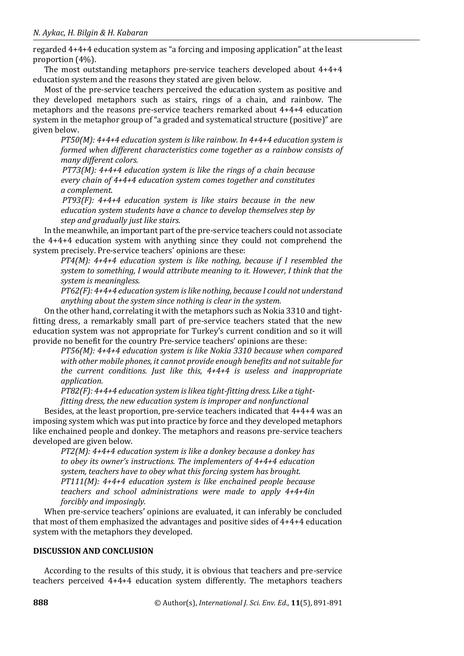regarded 4+4+4 education system as "a forcing and imposing application" at the least proportion (4%).

The most outstanding metaphors pre-service teachers developed about 4+4+4 education system and the reasons they stated are given below.

Most of the pre-service teachers perceived the education system as positive and they developed metaphors such as stairs, rings of a chain, and rainbow. The metaphors and the reasons pre-service teachers remarked about 4+4+4 education system in the metaphor group of "a graded and systematical structure (positive)" are given below.

*PT50(M): 4+4+4 education system is like rainbow. In 4+4+4 education system is formed when different characteristics come together as a rainbow consists of many different colors.* 

*PT73(M): 4+4+4 education system is like the rings of a chain because every chain of 4+4+4 education system comes together and constitutes a complement.* 

*PT93(F): 4+4+4 education system is like stairs because in the new education system students have a chance to develop themselves step by step and gradually just like stairs.* 

In the meanwhile, an important part of the pre-service teachers could not associate the 4+4+4 education system with anything since they could not comprehend the system precisely. Pre-service teachers' opinions are these:

*PT4(M): 4+4+4 education system is like nothing, because if I resembled the system to something, I would attribute meaning to it. However, I think that the system is meaningless.* 

*PT62(F): 4+4+4 education system is like nothing, because I could not understand anything about the system since nothing is clear in the system.* 

On the other hand, correlating it with the metaphors such as Nokia 3310 and tightfitting dress, a remarkably small part of pre-service teachers stated that the new education system was not appropriate for Turkey's current condition and so it will provide no benefit for the country Pre-service teachers' opinions are these:

*PT56(M): 4+4+4 education system is like Nokia 3310 because when compared with other mobile phones, it cannot provide enough benefits and not suitable for the current conditions. Just like this, 4+4+4 is useless and inappropriate application.* 

*PT82(F): 4+4+4 education system is likea tight-fitting dress. Like a tight-*

*fitting dress, the new education system is improper and nonfunctional* 

Besides, at the least proportion, pre-service teachers indicated that 4+4+4 was an imposing system which was put into practice by force and they developed metaphors like enchained people and donkey. The metaphors and reasons pre-service teachers developed are given below.

*PT2(M): 4+4+4 education system is like a donkey because a donkey has to obey its owner's instructions. The implementers of 4+4+4 education system, teachers have to obey what this forcing system has brought. PT111(M): 4+4+4 education system is like enchained people because teachers and school administrations were made to apply 4+4+4in forcibly and imposingly.* 

When pre-service teachers' opinions are evaluated, it can inferably be concluded that most of them emphasized the advantages and positive sides of 4+4+4 education system with the metaphors they developed.

#### **DISCUSSION AND CONCLUSION**

According to the results of this study, it is obvious that teachers and pre-service teachers perceived 4+4+4 education system differently. The metaphors teachers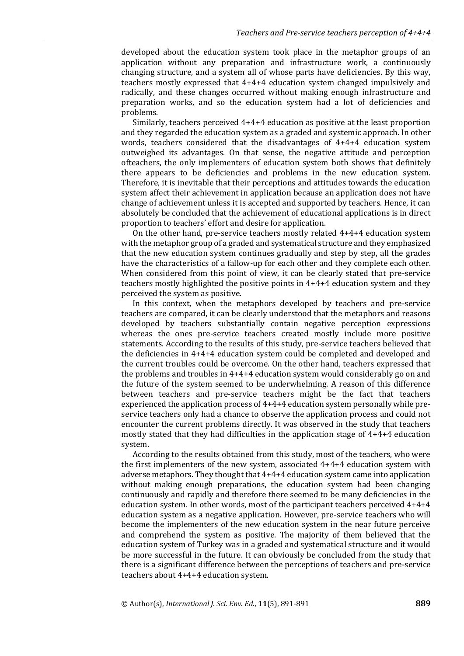developed about the education system took place in the metaphor groups of an application without any preparation and infrastructure work, a continuously changing structure, and a system all of whose parts have deficiencies. By this way, teachers mostly expressed that 4+4+4 education system changed impulsively and radically, and these changes occurred without making enough infrastructure and preparation works, and so the education system had a lot of deficiencies and problems.

Similarly, teachers perceived 4+4+4 education as positive at the least proportion and they regarded the education system as a graded and systemic approach. In other words, teachers considered that the disadvantages of 4+4+4 education system outweighed its advantages. On that sense, the negative attitude and perception ofteachers, the only implementers of education system both shows that definitely there appears to be deficiencies and problems in the new education system. Therefore, it is inevitable that their perceptions and attitudes towards the education system affect their achievement in application because an application does not have change of achievement unless it is accepted and supported by teachers. Hence, it can absolutely be concluded that the achievement of educational applications is in direct proportion to teachers' effort and desire for application.

On the other hand, pre-service teachers mostly related 4+4+4 education system with the metaphor group of a graded and systematical structure and they emphasized that the new education system continues gradually and step by step, all the grades have the characteristics of a fallow-up for each other and they complete each other. When considered from this point of view, it can be clearly stated that pre-service teachers mostly highlighted the positive points in 4+4+4 education system and they perceived the system as positive.

In this context, when the metaphors developed by teachers and pre-service teachers are compared, it can be clearly understood that the metaphors and reasons developed by teachers substantially contain negative perception expressions whereas the ones pre-service teachers created mostly include more positive statements. According to the results of this study, pre-service teachers believed that the deficiencies in 4+4+4 education system could be completed and developed and the current troubles could be overcome. On the other hand, teachers expressed that the problems and troubles in 4+4+4 education system would considerably go on and the future of the system seemed to be underwhelming. A reason of this difference between teachers and pre-service teachers might be the fact that teachers experienced the application process of 4+4+4 education system personally while preservice teachers only had a chance to observe the application process and could not encounter the current problems directly. It was observed in the study that teachers mostly stated that they had difficulties in the application stage of 4+4+4 education system.

According to the results obtained from this study, most of the teachers, who were the first implementers of the new system, associated 4+4+4 education system with adverse metaphors. They thought that 4+4+4 education system came into application without making enough preparations, the education system had been changing continuously and rapidly and therefore there seemed to be many deficiencies in the education system. In other words, most of the participant teachers perceived 4+4+4 education system as a negative application. However, pre-service teachers who will become the implementers of the new education system in the near future perceive and comprehend the system as positive. The majority of them believed that the education system of Turkey was in a graded and systematical structure and it would be more successful in the future. It can obviously be concluded from the study that there is a significant difference between the perceptions of teachers and pre-service teachers about 4+4+4 education system.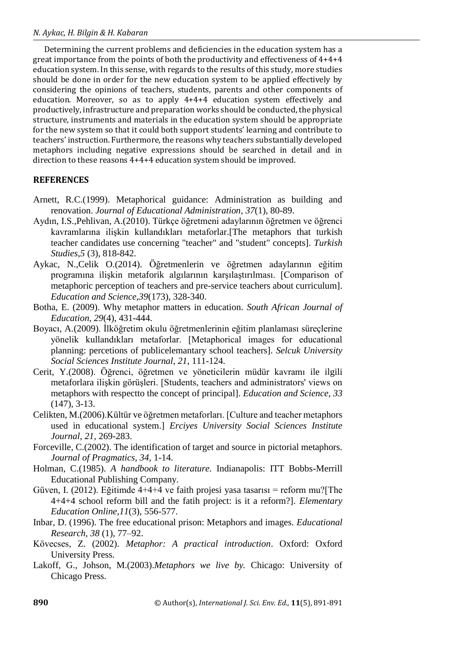Determining the current problems and deficiencies in the education system has a great importance from the points of both the productivity and effectiveness of 4+4+4 education system. In this sense, with regards to the results of this study, more studies should be done in order for the new education system to be applied effectively by considering the opinions of teachers, students, parents and other components of education. Moreover, so as to apply 4+4+4 education system effectively and productively, infrastructure and preparation works should be conducted, the physical structure, instruments and materials in the education system should be appropriate for the new system so that it could both support students' learning and contribute to teachers' instruction. Furthermore, the reasons why teachers substantially developed metaphors including negative expressions should be searched in detail and in direction to these reasons 4+4+4 education system should be improved.

# **REFERENCES**

- Arnett, R.C.(1999). Metaphorical guidance: Administration as building and renovation. *Journal of Educational Administration*, *37*(1), 80-89.
- Aydın, I.S.,Pehlivan, A.(2010). Türkçe öğretmeni adaylarının öğretmen ve öğrenci kavramlarına ilişkin kullandıkları metaforlar.[The metaphors that turkish teacher candidates use concerning "teacher" and "student" concepts]. *Turkish Studies,5* (3), 818-842.
- Aykac, N.,Celik O.(2014). Öğretmenlerin ve öğretmen adaylarının eğitim programına ilişkin metaforik algılarının karşılaştırılması. [Comparison of metaphoric perception of teachers and pre-service teachers about curriculum]. *Education and Science,39*(173), 328-340.
- Botha, E. (2009). Why metaphor matters in education. *South African Journal of Education, 29*(4), 431-444.
- Boyacı, A.(2009). İlköğretim okulu öğretmenlerinin eğitim planlaması süreçlerine yönelik kullandıkları metaforlar. [Metaphorical images for educational planning: percetions of publicelemantary school teachers]. *Selcuk University Social Sciences Institute Journal, 21*, 111-124.
- Cerit, Y.(2008). Öğrenci, öğretmen ve yöneticilerin müdür kavramı ile ilgili metaforlara ilişkin görüşleri. [Students, teachers and administrators' views on metaphors with respectto the concept of principal]. *Education and Science, 33* (147), 3-13.
- Celikten, M.(2006).Kültür ve öğretmen metaforları. [Culture and teacher metaphors used in educational system.] *Erciyes University Social Sciences Institute Journal*, *21*, 269-283.
- Forceville, C.(2002). The identification of target and source in pictorial metaphors. *Journal of Pragmatics, 34,* 1-14.
- Holman, C.(1985). *A handbook to literature.* Indianapolis: ITT Bobbs-Merrill Educational Publishing Company.
- Güven, I. (2012). Eğitimde 4+4+4 ve faith projesi yasa tasarısı = reform mu?[The 4+4+4 school reform bill and the fatih project: is it a reform?]. *Elementary Education Online,11*(3), 556-577.
- Inbar, D. (1996). The free educational prison: Metaphors and images. *Educational Research, 38* (1), 77–92.
- Kövecses, Z. (2002). *Metaphor: A practical introduction*. Oxford: Oxford University Press.
- Lakoff, G., Johson, M.(2003).*Metaphors we live by.* Chicago: University of Chicago Press.